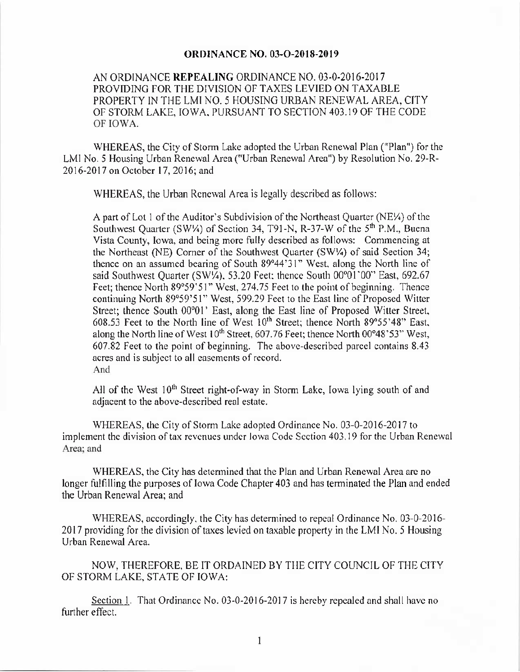## **ORDINANCE NO. 03-O-2018-2019**

AN ORDINANCE REPEALING ORDINANCE NO. 03-0-2016-2017 PROVIDING FOR THE DIVISION OF TAXES LEVIED ON TAXABLE PROPERTY IN THE LMI NO. 5 HOUSING URBAN RENEWAL AREA, CITY OF STORM LAKE, IOWA, PURSUANT TO SECTION 403. 19 OF THE CODE OF IOWA.

WHEREAS, the City of Storm Lake adopted the Urban Renewal Plan ("Plan") for the LMI No. 5 Housing Urban Renewal Area(" Urban Renewal Area") by Resolution No. 29-R-2016-2017 on October 17, 2016; and

WHEREAS, the Urban Renewal Area is legally described as follows:

A part of Lot 1 of the Auditor's Subdivision of the Northeast Quarter ( $NE\$ i) of the Southwest Quarter ( $SW\$ ) of Section 34, T91-N, R-37-W of the  $5<sup>th</sup>$  P.M., Buena Vista County, Iowa, and being more fully described as follows: Commencing at the Northeast (NE) Corner of the Southwest Quarter (SW1/4) of said Section 34; thence on an assumed bearing of South 89°44' 31" West, along the North line of said Southwest Quarter (SW1/4), 53.20 Feet; thence South 00°01'00" East, 692.67 Feet; thence North 89°59' 51" West, 274.75 Feet to the point of beginning. Thence continuing North 89°59' 51" West, 599.29 Feet to the East line of Proposed Witter Street; thence South 00°01' East, along the East line of Proposed Witter Street, 608.53 Feet to the North line of West  $10<sup>th</sup>$  Street; thence North 89°55'48" East, along the North line of West 10<sup>th</sup> Street, 607.76 Feet; thence North 00°48'53" West, 607.82 Feet to the point of beginning. The above-described parcel contains 8. 43 acres and is subject to all easements of record. And

All of the West  $10<sup>th</sup>$  Street right-of-way in Storm Lake, Iowa lying south of and adjacent to the above- described real estate.

WHEREAS, the City of Storm Lake adopted Ordinance No. 03-0-2016-2017 to implement the division of tax revenues under Iowa Code Section 403. 19 for the Urban Renewal Area; and

WHEREAS, the City has determined that the Plan and Urban Renewal Area are no longer fulfilling the purposes of Iowa Code Chapter 403 and has terminated the Plan and ended the Urban Renewal Area; and

WHEREAS, accordingly, the City has determined to repeal Ordinance No. 03-0-2016-2017 providing for the division of taxes levied on taxable property in the LMI No. 5 Housing Urban Renewal Area.

NOW, THEREFORE, BE IT ORDAINED BY THE CITY COUNCIL OF THE CITY OF STORM LAKE, STATE OF IOWA:

Section 1. That Ordinance No. 03-0-2016-2017 is hereby repealed and shall have no further effect.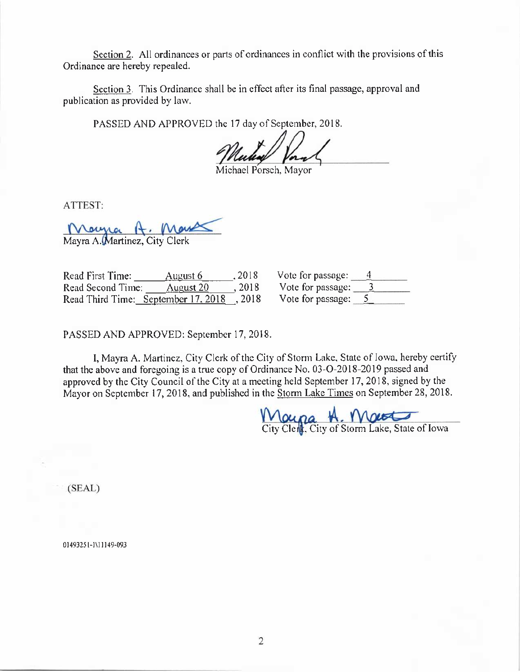Section 2. All ordinances or parts of ordinances in conflict with the provisions of this Ordinance are hereby repealed.

Section 3. This Ordinance shall be in effect after its final passage, approval and publication as provided by law.

PASSED AND APPROVED the 17 day of September, 2018.

Mulia Vorn<br>Michael Porsch, Mayo

ATTEST:

Marna H. M Mayra A. Martinez, City Clerk

Read First Time: <u>August 6</u> 2018<br>Read Second Time: August 20, 2018 Read Second Time: August 20 , 2018 Read Third Time: September 17, 2018 , 2018

| Vote for passage: |  |
|-------------------|--|
| Vote for passage: |  |
| Vote for passage: |  |

PASSED AND APPROVED: September 17, 2018.

I, Mayra A. Martinez, City Clerk of the City of Storm Lake, State of Iowa, hereby certify that the above and foregoing is a true copy of Ordinance No. 03-O-2018-2019 passed and approved by the City Council of the City at a meeting held September 17, 2018, signed by the Mayor on September 17, 2018, and published in the Storm Lake Times on September 28, 2018.

<u>H. Ma</u> City Clen**t**, City of Storm Lake, State of Iowa

SEAL)

01493251- 1111149- 093